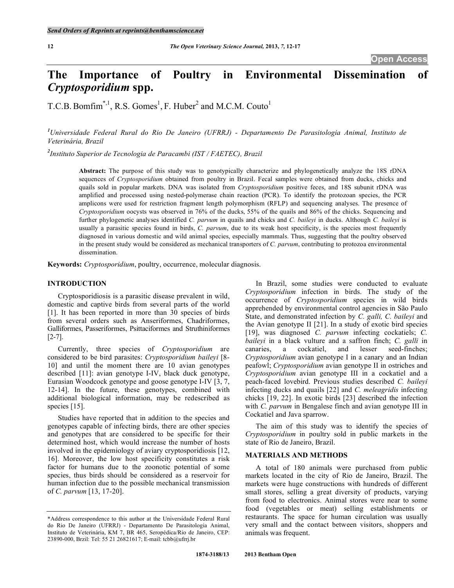# **The Importance of Poultry in Environmental Dissemination of**  *Cryptosporidium* **spp.**

T.C.B. Bomfim<sup>\*,1</sup>, R.S. Gomes<sup>1</sup>, F. Huber<sup>2</sup> and M.C.M. Couto<sup>1</sup>

*1 Universidade Federal Rural do Rio De Janeiro (UFRRJ) - Departamento De Parasitologia Animal, Instituto de Veterinária, Brazil* 

*2 Instituto Superior de Tecnologia de Paracambi (IST / FAETEC), Brazil* 

**Abstract:** The purpose of this study was to genotypically characterize and phylogenetically analyze the 18S rDNA sequences of *Cryptosporidium* obtained from poultry in Brazil. Fecal samples were obtained from ducks, chicks and quails sold in popular markets. DNA was isolated from *Cryptosporidium* positive feces, and 18S subunit rDNA was amplified and processed using nested-polymerase chain reaction (PCR). To identify the protozoan species, the PCR amplicons were used for restriction fragment length polymorphism (RFLP) and sequencing analyses. The presence of *Cryptosporidium* oocysts was observed in 76% of the ducks, 55% of the quails and 86% of the chicks. Sequencing and further phylogenetic analyses identified *C. parvum* in quails and chicks and *C. baileyi* in ducks. Although *C. baileyi* is usually a parasitic species found in birds, *C. parvum*, due to its weak host specificity, is the species most frequently diagnosed in various domestic and wild animal species, especially mammals. Thus, suggesting that the poultry observed in the present study would be considered as mechanical transporters of *C. parvum*, contributing to protozoa environmental dissemination.

**Keywords:** *Cryptosporidium*, poultry, occurrence, molecular diagnosis.

### **INTRODUCTION**

 Cryptosporidiosis is a parasitic disease prevalent in wild, domestic and captive birds from several parts of the world [1]. It has been reported in more than 30 species of birds from several orders such as Anseriformes, Chadriformes, Galliformes, Passeriformes, Psittaciformes and Struthiniformes [2-7].

 Currently, three species of *Cryptosporidium* are considered to be bird parasites: *Cryptosporidium baileyi* [8- 10] and until the moment there are 10 avian genotypes described [11]: avian genotype I-IV, black duck genotype, Eurasian Woodcock genotype and goose genotype I-IV [3, 7, 12-14]. In the future, these genotypes, combined with additional biological information, may be redescribed as species [15].

 Studies have reported that in addition to the species and genotypes capable of infecting birds, there are other species and genotypes that are considered to be specific for their determined host, which would increase the number of hosts involved in the epidemiology of aviary cryptosporidiosis [12, 16]. Moreover, the low host specificity constitutes a risk factor for humans due to the zoonotic potential of some species, thus birds should be considered as a reservoir for human infection due to the possible mechanical transmission of *C. parvum* [13, 17-20].

 In Brazil, some studies were conducted to evaluate *Cryptosporidium* infection in birds. The study of the occurrence of *Cryptosporidium* species in wild birds apprehended by environmental control agencies in São Paulo State, and demonstrated infection by *C. galli, C. baileyi* and the Avian genotype II [21]. In a study of exotic bird species [19], was diagnosed *C. parvum* infecting cockatiels; *C. baileyi* in a black vulture and a saffron finch; *C. galli* in canaries, a cockatiel, and lesser seed-finches; *Cryptosporidium* avian genotype I in a canary and an Indian peafowl; *Cryptosporidium* avian genotype II in ostriches and *Cryptosporidium* avian genotype III in a cockatiel and a peach-faced lovebird. Previous studies described *C. baileyi*  infecting ducks and quails [22] and *C. meleagridis* infecting chicks [19, 22]. In exotic birds [23] described the infection with *C. parvum* in Bengalese finch and avian genotype III in Cockatiel and Java sparrow.

 The aim of this study was to identify the species of *Cryptosporidium* in poultry sold in public markets in the state of Rio de Janeiro, Brazil.

# **MATERIALS AND METHODS**

 A total of 180 animals were purchased from public markets located in the city of Rio de Janeiro, Brazil. The markets were huge constructions with hundreds of different small stores, selling a great diversity of products, varying from food to electronics. Animal stores were near to some food (vegetables or meat) selling establishments or restaurants. The space for human circulation was usually very small and the contact between visitors, shoppers and animals was frequent.

<sup>\*</sup>Address correspondence to this author at the Universidade Federal Rural do Rio De Janeiro (UFRRJ) - Departamento De Parasitologia Animal, Instituto de Veterinária, KM 7, BR 465, Seropédica/Rio de Janeiro, CEP: 23890-000, Brzil: Tel: 55 21 26821617; E-mail: tcbb@ufrrj.br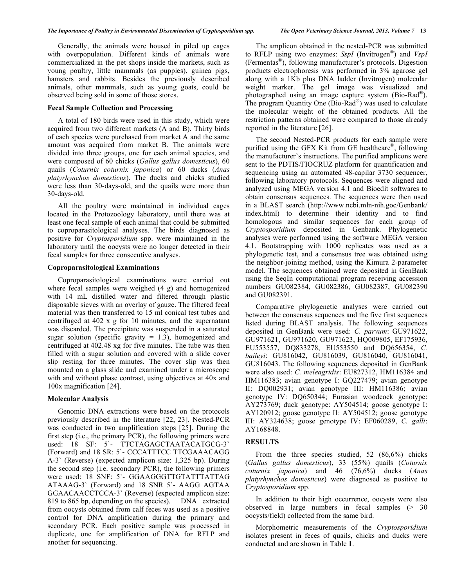Generally, the animals were housed in piled up cages with overpopulation. Different kinds of animals were commercialized in the pet shops inside the markets, such as young poultry, little mammals (as puppies), guinea pigs, hamsters and rabbits. Besides the previously described animals, other mammals, such as young goats, could be observed being sold in some of those stores.

# **Fecal Sample Collection and Processing**

 A total of 180 birds were used in this study, which were acquired from two different markets (A and B). Thirty birds of each species were purchased from market A and the same amount was acquired from market B. The animals were divided into three groups, one for each animal species, and were composed of 60 chicks (*Gallus gallus domesticus*), 60 quails (*Coturnix coturnix japonica*) or 60 ducks (*Anas platyrhynchos domesticus*). The ducks and chicks studied were less than 30-days-old, and the quails were more than 30-days-old.

 All the poultry were maintained in individual cages located in the Protozoology laboratory, until there was at least one fecal sample of each animal that could be submitted to coproparasitological analyses. The birds diagnosed as positive for *Cryptosporidium* spp. were maintained in the laboratory until the oocysts were no longer detected in their fecal samples for three consecutive analyses.

#### **Coproparasitological Examinations**

 Coproparasitological examinations were carried out where fecal samples were weighed (4 g) and homogenized with 14 mL distilled water and filtered through plastic disposable sieves with an overlay of gauze. The filtered fecal material was then transferred to 15 ml conical test tubes and centrifuged at 402 x *g* for 10 minutes, and the supernatant was discarded. The precipitate was suspended in a saturated sugar solution (specific gravity  $= 1.3$ ), homogenized and centrifuged at 402.48 xg for five minutes. The tube was then filled with a sugar solution and covered with a slide cover slip resting for three minutes. The cover slip was then mounted on a glass slide and examined under a microscope with and without phase contrast, using objectives at 40x and 100x magnification [24].

# **Molecular Analysis**

 Genomic DNA extractions were based on the protocols previously described in the literature [22, 23]. Nested-PCR was conducted in two amplification steps [25]. During the first step (i.e., the primary PCR), the following primers were used: 18 SF: 5`- TTCTAGAGCTAATACATGCG-3` (Forward) and 18 SR: 5`- CCCATTTCC TTCGAAACAGG A-3` (Reverse) (expected amplicon size: 1,325 bp). During the second step (i.e. secondary PCR), the following primers were used: 18 SNF: 5`- GGAAGGGTTGTATTTATTAG ATAAAG-3` (Forward) and 18 SNR 5`- AAGG AGTAA GGAACAACCTCCA-3` (Reverse) (expected amplicon size: 819 to 865 bp, depending on the species). DNA extracted from oocysts obtained from calf feces was used as a positive control for DNA amplification during the primary and secondary PCR. Each positive sample was processed in duplicate, one for amplification of DNA for RFLP and another for sequencing.

 The amplicon obtained in the nested-PCR was submitted to RFLP using two enzymes: *SspI* (Invitrogen®) and *VspI* (Fermentas®), following manufacturer's protocols. Digestion products electrophoresis was performed in 3% agarose gel along with a 1Kb plus DNA ladder (Invitrogen) molecular weight marker. The gel image was visualized and photographed using an image capture system (Bio-Rad®). The program Quantity One (Bio-Rad®) was used to calculate the molecular weight of the obtained products. All the restriction patterns obtained were compared to those already reported in the literature [26].

 The second Nested-PCR products for each sample were purified using the GFX Kit from GE healthcare®, following the manufacturer's instructions. The purified amplicons were sent to the PDTIS/FIOCRUZ platform for quantification and sequencing using an automated 48-capilar 3730 sequencer, following laboratory protocols. Sequences were aligned and analyzed using MEGA version 4.1 and Bioedit softwares to obtain consensus sequences. The sequences were then used in a BLAST search (http://www.ncbi.mln-nih.goc/Genbank/ index.html) to determine their identity and to find homologous and similar sequences for each group of *Cryptosporidium* deposited in Genbank. Phylogenetic analyses were performed using the software MEGA version 4.1. Bootstrapping with 1000 replicates was used as a phylogenetic test, and a consensus tree was obtained using the neighbor-joining method, using the Kimura 2-parameter model. The sequences obtained were deposited in GenBank using the SeqIn computational program receiving accession numbers GU082384, GU082386, GU082387, GU082390 and GU082391.

 Comparative phylogenetic analyses were carried out between the consensus sequences and the five first sequences listed during BLAST analysis. The following sequences deposited in GenBank were used: *C. parvum*: GU971622, GU971621, GU971620, GU971623, HQ009805, EF175936, EU553557, DQ833278, EU553550 and DQ656354, *C. baileyi*: GU816042, GU816039, GU816040, GU816041, GU816043. The following sequences deposited in GenBank were also used: *C. meleagridis*: EU827312, HM116384 and HM116383; avian genotype I: GQ227479; avian genotype II: DQ002931; avian genotype III: HM116386; avian genotype IV: DQ650344; Eurasian woodcock genotype: AY273769; duck genotype: AY504514; goose genotype I: AY120912; goose genotype II: AY504512; goose genotype III: AY324638; goose genotype IV: EF060289, *C. galli*: AY168848.

#### **RESULTS**

 From the three species studied, 52 (86,6%) chicks (*Gallus gallus domesticus*), 33 (55%) quails (*Coturnix coturnix japonica*) and 46 (76,6%) ducks (*Anas platyrhynchos domesticus*) were diagnosed as positive to *Cryptosporidium* spp.

 In addition to their high occurrence, oocysts were also observed in large numbers in fecal samples (> 30 oocysts/field) collected from the same bird.

 Morphometric measurements of the *Cryptosporidium* isolates present in feces of quails, chicks and ducks were conducted and are shown in Table **1**.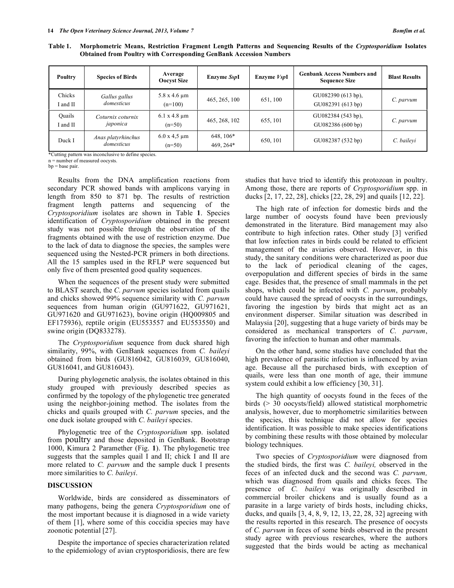| Poultry            | <b>Species of Birds</b>          | Average<br><b>Oocyst Size</b>       | Enzyme SspI              | Enzyme VspI | <b>Genbank Access Numbers and</b><br><b>Sequence Size</b> | <b>Blast Results</b> |
|--------------------|----------------------------------|-------------------------------------|--------------------------|-------------|-----------------------------------------------------------|----------------------|
| Chicks<br>I and II | Gallus gallus<br>domesticus      | $5.8 \times 4.6 \mu m$<br>$(n=100)$ | 465, 265, 100            | 651, 100    | GU082390 (613 bp),<br>GU082391 (613 bp)                   | C. parvum            |
| Ouails<br>I and II | Coturnix coturnix<br>japonica    | $6.1 \times 4.8 \mu m$<br>$(n=50)$  | 465, 268, 102            | 655, 101    | GU082384 (543 bp),<br>GU082386 (600 bp)                   | C. parvum            |
| Duck I             | Anas platyrhinchus<br>domesticus | $6.0 x 4.5 \mu m$<br>$(n=50)$       | $648, 106*$<br>469, 264* | 650, 101    | GU082387 (532 bp)                                         | C. bailevi           |

**Table 1. Morphometric Means, Restriction Fragment Length Patterns and Sequencing Results of the** *Cryptosporidium* **Isolates Obtained from Poultry with Corresponding GenBank Accession Numbers** 

\*Cutting pattern was inconclusive to define species.

n = number of measured oocysts.

 $bp = base pair$ .

 Results from the DNA amplification reactions from secondary PCR showed bands with amplicons varying in length from 850 to 871 bp. The results of restriction fragment length patterns and sequencing of the *Cryptosporidium* isolates are shown in Table **1**. Species identification of *Cryptosporidium* obtained in the present study was not possible through the observation of the fragments obtained with the use of restriction enzyme. Due to the lack of data to diagnose the species, the samples were sequenced using the Nested-PCR primers in both directions. All the 15 samples used in the RFLP were sequenced but only five of them presented good quality sequences.

 When the sequences of the present study were submitted to BLAST search, the *C. parvum* species isolated from quails and chicks showed 99% sequence similarity with *C. parvum* sequences from human origin (GU971622, GU971621, GU971620 and GU971623), bovine origin (HQ009805 and EF175936), reptile origin (EU553557 and EU553550) and swine origin (DQ833278).

 The *Cryptosporidium* sequence from duck shared high similarity, 99%, with GenBank sequences from *C. baileyi* obtained from birds (GU816042, GU816039, GU816040, GU816041, and GU816043).

 During phylogenetic analysis, the isolates obtained in this study grouped with previously described species as confirmed by the topology of the phylogenetic tree generated using the neighbor-joining method. The isolates from the chicks and quails grouped with *C. parvum* species, and the one duck isolate grouped with *C. baileyi* species.

 Phylogenetic tree of the *Cryptosporidium* spp. isolated from poultry and those deposited in GenBank. Bootstrap 1000, Kimura 2 Paramether (Fig. **1**). The phylogenetic tree suggests that the samples quail I and II; chick I and II are more related to *C. parvum* and the sample duck I presents more similarities to *C. baileyi*.

### **DISCUSSION**

 Worldwide, birds are considered as disseminators of many pathogens, being the genera *Cryptosporidium* one of the most important because it is diagnosed in a wide variety of them [1], where some of this coccidia species may have zoonotic potential [27].

 Despite the importance of species characterization related to the epidemiology of avian cryptosporidiosis, there are few studies that have tried to identify this protozoan in poultry. Among those, there are reports of *Cryptosporidium* spp. in ducks [2, 17, 22, 28], chicks [22, 28, 29] and quails [12, 22].

 The high rate of infection for domestic birds and the large number of oocysts found have been previously demonstrated in the literature. Bird management may also contribute to high infection rates. Other study [3] verified that low infection rates in birds could be related to efficient management of the aviaries observed. However, in this study, the sanitary conditions were characterized as poor due to the lack of periodical cleaning of the cages, overpopulation and different species of birds in the same cage. Besides that, the presence of small mammals in the pet shops, which could be infected with *C. parvum*, probably could have caused the spread of oocysts in the surroundings, favoring the ingestion by birds that might act as an environment disperser. Similar situation was described in Malaysia [20], suggesting that a huge variety of birds may be considered as mechanical transporters of *C. parvum*, favoring the infection to human and other mammals.

 On the other hand, some studies have concluded that the high prevalence of parasitic infection is influenced by avian age. Because all the purchased birds, with exception of quails, were less than one month of age, their immune system could exhibit a low efficiency [30, 31].

 The high quantity of oocysts found in the feces of the birds (> 30 oocysts/field) allowed statistical morphometric analysis, however, due to morphometric similarities between the species, this technique did not allow for species identification. It was possible to make species identifications by combining these results with those obtained by molecular biology techniques.

 Two species of *Cryptosporidium* were diagnosed from the studied birds, the first was *C. baileyi,* observed in the feces of an infected duck and the second was *C. parvum,* which was diagnosed from quails and chicks feces. The presence of *C. baileyi* was originally described in commercial broiler chickens and is usually found as a parasite in a large variety of birds hosts, including chicks, ducks, and quails [3, 4, 8, 9, 12, 13, 22, 28, 32] agreeing with the results reported in this research. The presence of oocysts of *C. parvum* in feces of some birds observed in the present study agree with previous researches, where the authors suggested that the birds would be acting as mechanical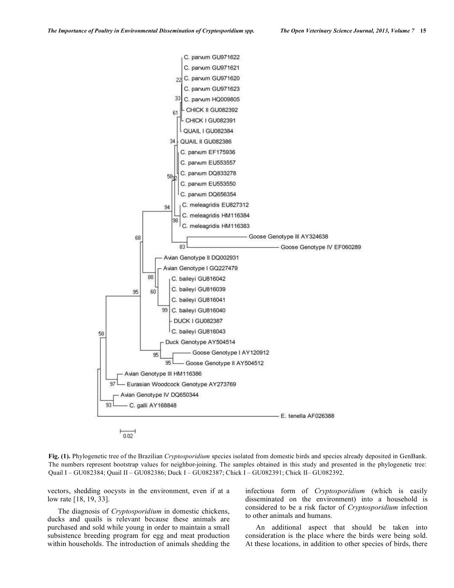

 $0.02$ 

**Fig. (1).** Phylogenetic tree of the Brazilian *Cryptosporidium* species isolated from domestic birds and species already deposited in GenBank. The numbers represent bootstrap values for neighbor-joining. The samples obtained in this study and presented in the phylogenetic tree: Quail I – GU082384; Quail II – GU082386; Duck I – GU082387; Chick I – GU082391; Chick II– GU082392.

vectors, shedding oocysts in the environment, even if at a low rate [18, 19, 33].

 The diagnosis of *Cryptosporidium* in domestic chickens, ducks and quails is relevant because these animals are purchased and sold while young in order to maintain a small subsistence breeding program for egg and meat production within households. The introduction of animals shedding the infectious form of *Cryptosporidium* (which is easily disseminated on the environment) into a household is considered to be a risk factor of *Cryptosporidium* infection to other animals and humans.

 An additional aspect that should be taken into consideration is the place where the birds were being sold. At these locations, in addition to other species of birds, there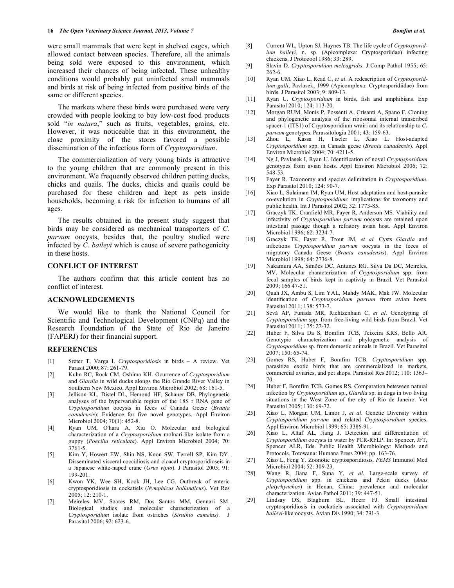were small mammals that were kept in shelved cages, which allowed contact between species. Therefore, all the animals being sold were exposed to this environment, which increased their chances of being infected. These unhealthy conditions would probably put uninfected small mammals and birds at risk of being infected from positive birds of the same or different species.

 The markets where these birds were purchased were very crowded with people looking to buy low-cost food products sold "*in natura*," such as fruits, vegetables, grains, etc. However, it was noticeable that in this environment, the close proximity of the stores favored a possible dissemination of the infectious form of *Cryptosporidium*.

 The commercialization of very young birds is attractive to the young children that are commonly present in this environment. We frequently observed children petting ducks, chicks and quails. The ducks, chicks and quails could be purchased for these children and kept as pets inside households, becoming a risk for infection to humans of all ages.

 The results obtained in the present study suggest that birds may be considered as mechanical transporters of *C. parvum* oocysts, besides that, the poultry studied were infected by *C. baileyi* which is cause of severe pathogenicity in these hosts.

# **CONFLICT OF INTEREST**

 The authors confirm that this article content has no conflict of interest.

#### **ACKNOWLEDGEMENTS**

 We would like to thank the National Council for Scientific and Technological Development (CNPq) and the Research Foundation of the State of Rio de Janeiro (FAPERJ) for their financial support.

#### **REFERENCES**

- [1] Sréter T, Varga I. *Cryptosporidiosis* in birds A review. Vet Parasit 2000; 87: 261-79.
- [2] Kuhn RC, Rock CM, Oshima KH. Ocurrence of *Cryptosporidium* and *Giardia* in wild ducks alongs the Rio Grande River Valley in Southern New Mexico. Appl Environ Microbiol 2002; 68: 161-5.
- [3] Jellison KL, Distel DL, Hemond HF, Schauer DB. Phylogenetic analyses of the hypervariable region of the 18S r RNA gene of *Cryptosporidium* oocysts in feces of Canada Geese (*Branta canadensis*): Evidence for five novel genotypes. Appl Environ Microbiol 2004; 70(1): 452-8.
- [4] Ryan UM, O'hara A, Xiu O. Molecular and biological characterization of a *Cryptosporidium* molnari-like isolate from a guppy (*Poecilia reticulata*). Appl Environ Microbiol 2004; 70: 3761-5.
- [5] Kim Y, Howert EW, Shin NS, Knon SW, Terrell SP, Kim DY. Disseminated visceral coccidiosis and cloacal cryptosporidioseis in a Japanese white-naped crane (*Grus vipio*). J Parasitol 2005; 91: 199-201.
- [6] Kwon YK, Wee SH, Kook JH, Lee CG. Outbreak of enteric cryptosporidiosis in cockatiels (*Nymphicus hollandicus*). Vet Res 2005; 12: 210-1.
- [7] Meireles MV, Soares RM, Dos Santos MM, Gennari SM. Biological studies and molecular characterization of a *Cryptosporidium* isolate from ostriches (*Struthio camelus)*. J Parasitol 2006; 92: 623-6.
- [8] Current WL, Upton SJ, Haynes TB. The life cycle of *Cryptosporidium baileyi,* n. sp. (Apicomplexa: Cryptosporiidae) infecting chickens. J Protozool 1986; 33: 289.
- [9] Slavin D. *Cryptosporidium meleagridis*. J Comp Pathol 1955; 65: 262-6.
- [10] Ryan UM, Xiao L, Read C, *et al*. A redescription of *Cryptosporidium galli*, Pavlasek, 1999 (Apicomplexa: Cryptosporidiidae) from birds. J Parasitol 2003; 9: 809-13.
- [11] Ryan U. *Cryptosporidium* in birds, fish and amphibians. Exp Parasitol 2010; 124: 113-20.
- [12] Morgan RUM, Monis P, Possenti A, Crisanti A, Spano F. Cloning and phylogenetic analysis of the ribosomal internal transcribed spacer-1 (ITS1) of Cryptosporidium wrairi and its relationship to *C. parvum* genotypes. Parassitologia 2001; 43: 159-63.
- [13] Zhou L, Kassa H, Tiscler L, Xiao L. Host-adapted *Cryptosporidium* spp. in Canada geese (*Branta canadensis*). Appl Environ Microbiol 2004; 70: 4211-5.
- [14] Ng J, Pavlasek I, Ryan U. Identification of novel *Cryptosporidium* genotypes from avian hosts. Appl Environ Microbiol 2006; 72: 548-53.
- [15] Fayer R. Taxonomy and species delimitation in *Cryptosporidium*. Exp Parasitol 2010; 124: 90-7.
- [16] Xiao L, Sulaiman IM, Ryan UM, Host adaptation and host-parasite co-evolution in *Cryptosporidium*: implications for taxonomy and public health. Int J Parasitol 2002; 32: 1773-85.
- [17] Graczyk TK, Cranfield MR, Fayer R, Anderson MS. Viability and infectivity of *Cryptosporidium parvum* oocysts are retained upon intestinal passage though a refratory avian host. Appl Environ Microbiol 1996; 62: 3234-7.
- [18] Graczyk TK, Fayer R, Trout JM, *et al.* Cysts *Giardia* and infections *Cryptosporidium parvum* oocysts in the feces of migratory Canada Geese (*Branta canadensis*). Appl Environ Microbiol 1998; 64: 2736-8.
- [19] Nakamura AA, Simões DC, Antunes RG. Silva Da DC, Meireles, MV. Molecular characterization of *Cryptosporidium* spp. from fecal samples of birds kept in captivity in Brazil. Vet Parasitol 2009; 166 47-51.
- [20] Quah JX, Ambu S, Lim YAL, Mahdy MAK, Mak JW. Molecular identification of *Cryptosporidium parvum* from avian hosts. Parasitol 2011; 138: 573-7.
- [21] Sevá AP, Funada MR, Richtzenhain C, *et al*. Genotyping of *Cryptosporidium* spp. from free-living wild birds from Brazil. Vet Parasitol 2011; 175: 27-32.
- [22] Huber F, Silva Da S, Bomfim TCB, Teixeira KRS, Bello AR. Genotypic characterization and phylogenetic analysis of *Cryptosporidium* sp. from domestic animals in Brazil. Vet Parasitol 2007; 150: 65-74.
- [23] Gomes RS, Huber F, Bomfim TCB. *Cryptosporidium* spp. parasitize exotic birds that are commercialized in markets, commercial aviaries, and pet shops. Parasitol Res 2012; 110: 1363– 70.
- [24] Huber F, Bomfim TCB, Gomes RS. Comparation beteween natural infection by *Cryptosporidium* sp., *Giardia* sp. in dogs in two living situations in the West Zone of the city of Rio de Janeiro. Vet Parasitol 2005; 130: 69-72.
- [25] Xiao L, Morgan UM, Limor J, *et al*. Genetic Diversity within *Cryptosporidium parvum* and related *Cryptosporidium* species. Appl Environ Microbiol 1999; 65: 3386-91.
- [26] Xiao L, Altaf AL, Jiang J. Detection and differentiation of *Cryptosporidium* oocysts in water by PCR-RFLP. In: Spencer, JFT, Spencer ALR, Eds. Public Health Microbiology: Methods and Protocols. Totowana: Humana Press 2004; pp. 163-76.
- [27] Xiao L, Feng Y. Zoonotic cryptosporidiosis. *FEMS* Immunol Med Microbiol 2004; 52: 309-23.
- [28] Wang R, Jiana F, Suna Y, *et al.* Large-scale survey of *Cryptosporidium* spp. in chickens and Pekin ducks (*Anas platyrhynchos*) in Henan, China: prevalence and molecular characterization. Avian Pathol 2011; 39: 447-51.
- [29] Lindsay DS, Blagburn BL, Hoerr FJ. Small intestinal cryptosporidiosis in cockatiels associated with *Cryptosporidium baileyi*-like oocysts. Avian Dis 1990; 34: 791-3.